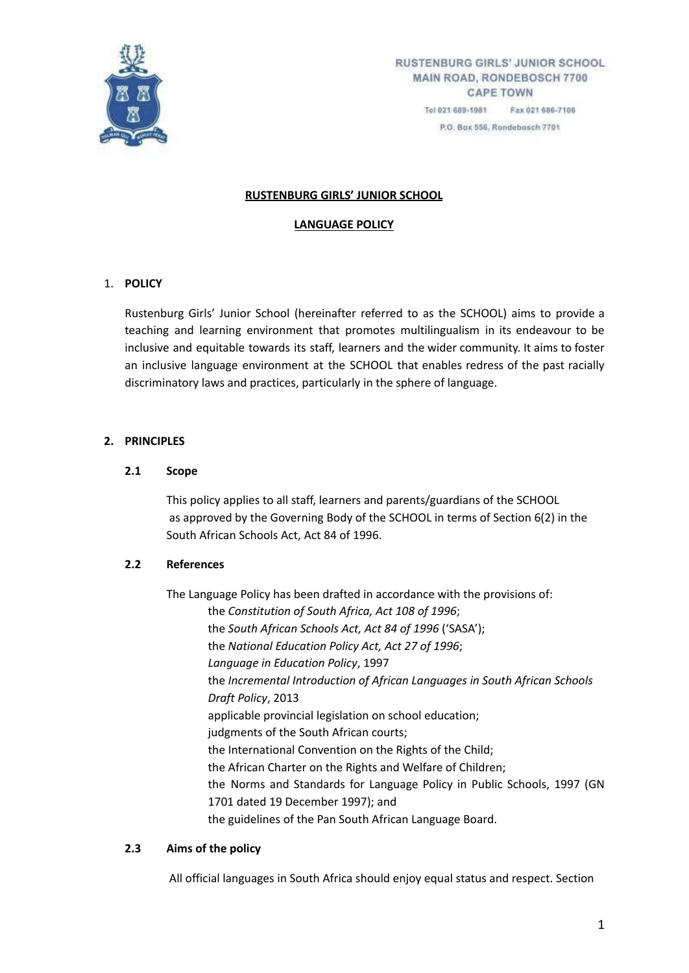

P.O. Bax 556, Rondebosch 7701

# **RUSTENBURG GIRLS' JUNIOR SCHOOL**

#### **LANGUAGE POLICY**

# 1. **POLICY**

Rustenburg Girls' Junior School (hereinafter referred to as the SCHOOL) aims to provide a teaching and learning environment that promotes multilingualism in its endeavour to be inclusive and equitable towards its staff, learners and the wider community. It aims to foster an inclusive language environment at the SCHOOL that enables redress of the past racially discriminatory laws and practices, particularly in the sphere of language.

# **2. PRINCIPLES**

# **2.1 Scope**

This policy applies to all staff, learners and parents/guardians of the SCHOOL as approved by the Governing Body of the SCHOOL in terms of Section 6(2) in the South African Schools Act, Act 84 of 1996.

# **2.2 References**

The Language Policy has been drafted in accordance with the provisions of: the *Constitution of South Africa, Act 108 of 1996*; the *South African Schools Act, Act 84 of 1996* ('SASA'); the *National Education Policy Act, Act 27 of 1996*; *Language in Education Policy*, 1997 the *Incremental Introduction of African Languages in South African Schools Draft Policy*, 2013 applicable provincial legislation on school education; judgments of the South African courts; the International Convention on the Rights of the Child; the African Charter on the Rights and Welfare of Children; the Norms and Standards for Language Policy in Public Schools, 1997 (GN 1701 dated 19 December 1997); and the guidelines of the Pan South African Language Board.

# **2.3 Aims of the policy**

All official languages in South Africa should enjoy equal status and respect. Section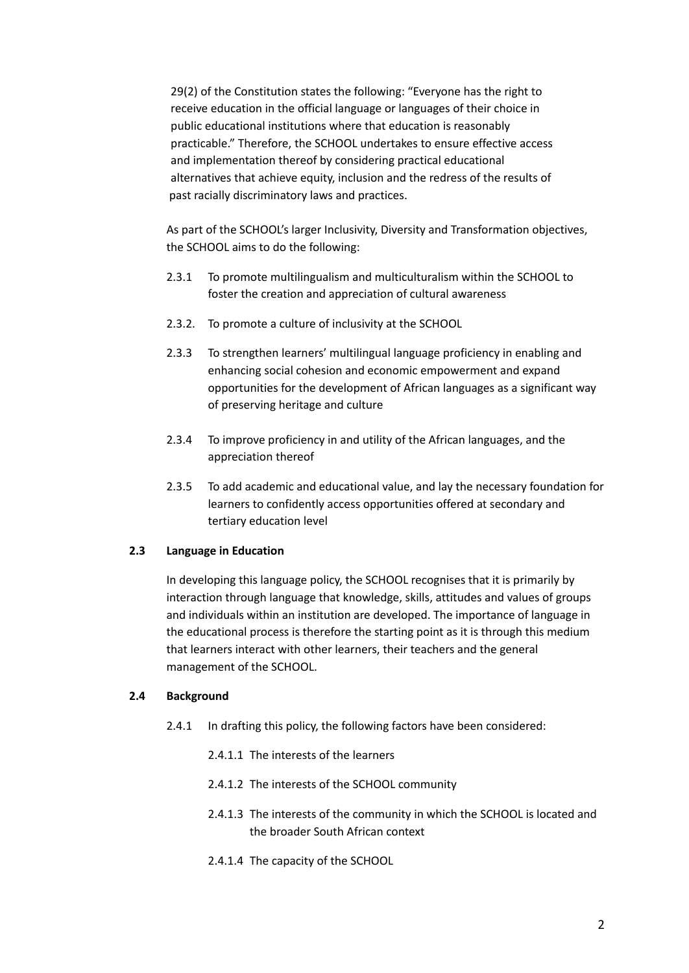29(2) of the Constitution states the following: "Everyone has the right to receive education in the official language or languages of their choice in public educational institutions where that education is reasonably practicable." Therefore, the SCHOOL undertakes to ensure effective access and implementation thereof by considering practical educational alternatives that achieve equity, inclusion and the redress of the results of past racially discriminatory laws and practices.

As part of the SCHOOL's larger Inclusivity, Diversity and Transformation objectives, the SCHOOL aims to do the following:

- 2.3.1 To promote multilingualism and multiculturalism within the SCHOOL to foster the creation and appreciation of cultural awareness
- 2.3.2. To promote a culture of inclusivity at the SCHOOL
- 2.3.3 To strengthen learners' multilingual language proficiency in enabling and enhancing social cohesion and economic empowerment and expand opportunities for the development of African languages as a significant way of preserving heritage and culture
- 2.3.4 To improve proficiency in and utility of the African languages, and the appreciation thereof
- 2.3.5 To add academic and educational value, and lay the necessary foundation for learners to confidently access opportunities offered at secondary and tertiary education level

#### **2.3 Language in Education**

In developing this language policy, the SCHOOL recognises that it is primarily by interaction through language that knowledge, skills, attitudes and values of groups and individuals within an institution are developed. The importance of language in the educational process is therefore the starting point as it is through this medium that learners interact with other learners, their teachers and the general management of the SCHOOL.

#### **2.4 Background**

- 2.4.1 In drafting this policy, the following factors have been considered:
	- 2.4.1.1 The interests of the learners
	- 2.4.1.2 The interests of the SCHOOL community
	- 2.4.1.3 The interests of the community in which the SCHOOL is located and the broader South African context
	- 2.4.1.4 The capacity of the SCHOOL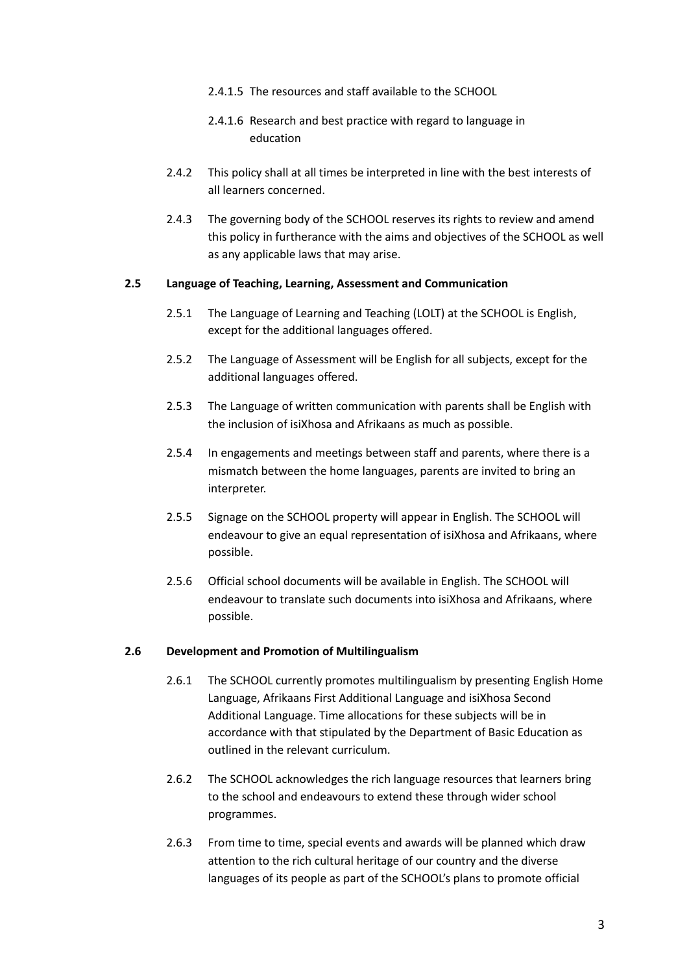- 2.4.1.5 The resources and staff available to the SCHOOL
- 2.4.1.6 Research and best practice with regard to language in education
- 2.4.2 This policy shall at all times be interpreted in line with the best interests of all learners concerned.
- 2.4.3 The governing body of the SCHOOL reserves its rights to review and amend this policy in furtherance with the aims and objectives of the SCHOOL as well as any applicable laws that may arise.

#### **2.5 Language of Teaching, Learning, Assessment and Communication**

- 2.5.1 The Language of Learning and Teaching (LOLT) at the SCHOOL is English, except for the additional languages offered.
- 2.5.2 The Language of Assessment will be English for all subjects, except for the additional languages offered.
- 2.5.3 The Language of written communication with parents shall be English with the inclusion of isiXhosa and Afrikaans as much as possible.
- 2.5.4 In engagements and meetings between staff and parents, where there is a mismatch between the home languages, parents are invited to bring an interpreter.
- 2.5.5 Signage on the SCHOOL property will appear in English. The SCHOOL will endeavour to give an equal representation of isiXhosa and Afrikaans, where possible.
- 2.5.6 Official school documents will be available in English. The SCHOOL will endeavour to translate such documents into isiXhosa and Afrikaans, where possible.

# **2.6 Development and Promotion of Multilingualism**

- 2.6.1 The SCHOOL currently promotes multilingualism by presenting English Home Language, Afrikaans First Additional Language and isiXhosa Second Additional Language. Time allocations for these subjects will be in accordance with that stipulated by the Department of Basic Education as outlined in the relevant curriculum.
- 2.6.2 The SCHOOL acknowledges the rich language resources that learners bring to the school and endeavours to extend these through wider school programmes.
- 2.6.3 From time to time, special events and awards will be planned which draw attention to the rich cultural heritage of our country and the diverse languages of its people as part of the SCHOOL's plans to promote official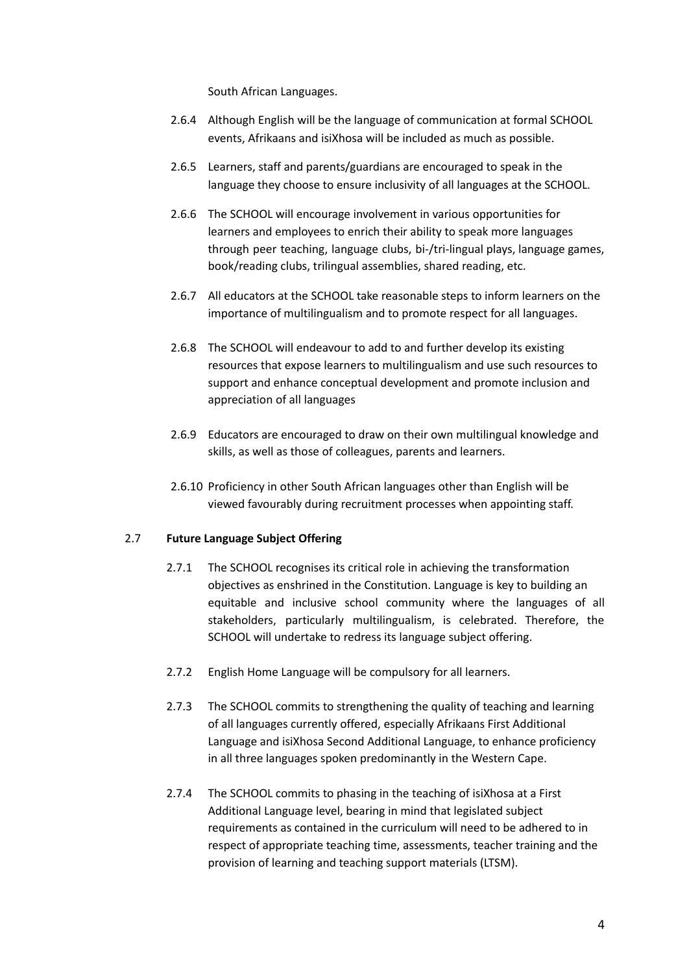South African Languages.

- 2.6.4 Although English will be the language of communication at formal SCHOOL events, Afrikaans and isiXhosa will be included as much as possible.
- 2.6.5 Learners, staff and parents/guardians are encouraged to speak in the language they choose to ensure inclusivity of all languages at the SCHOOL.
- 2.6.6 The SCHOOL will encourage involvement in various opportunities for learners and employees to enrich their ability to speak more languages through peer teaching, language clubs, bi-/tri-lingual plays, language games, book/reading clubs, trilingual assemblies, shared reading, etc.
- 2.6.7 All educators at the SCHOOL take reasonable steps to inform learners on the importance of multilingualism and to promote respect for all languages.
- 2.6.8 The SCHOOL will endeavour to add to and further develop its existing resources that expose learners to multilingualism and use such resources to support and enhance conceptual development and promote inclusion and appreciation of all languages
- 2.6.9 Educators are encouraged to draw on their own multilingual knowledge and skills, as well as those of colleagues, parents and learners.
- 2.6.10 Proficiency in other South African languages other than English will be viewed favourably during recruitment processes when appointing staff.

# 2.7 **Future Language Subject Offering**

- 2.7.1 The SCHOOL recognises its critical role in achieving the transformation objectives as enshrined in the Constitution. Language is key to building an equitable and inclusive school community where the languages of all stakeholders, particularly multilingualism, is celebrated. Therefore, the SCHOOL will undertake to redress its language subject offering.
- 2.7.2 English Home Language will be compulsory for all learners.
- 2.7.3 The SCHOOL commits to strengthening the quality of teaching and learning of all languages currently offered, especially Afrikaans First Additional Language and isiXhosa Second Additional Language, to enhance proficiency in all three languages spoken predominantly in the Western Cape.
- 2.7.4 The SCHOOL commits to phasing in the teaching of isiXhosa at a First Additional Language level, bearing in mind that legislated subject requirements as contained in the curriculum will need to be adhered to in respect of appropriate teaching time, assessments, teacher training and the provision of learning and teaching support materials (LTSM).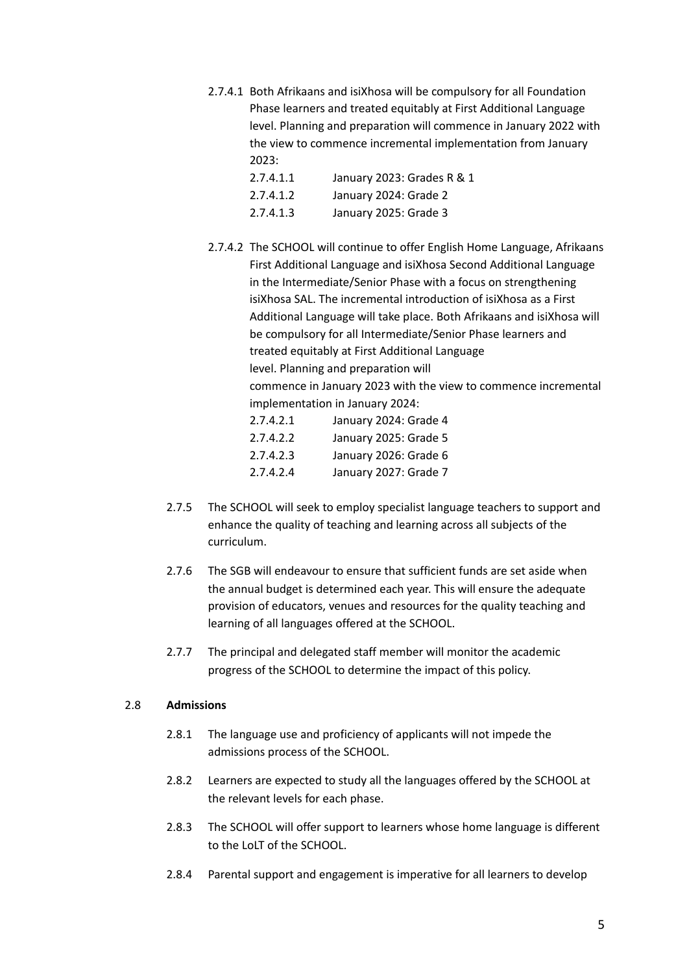- 2.7.4.1 Both Afrikaans and isiXhosa will be compulsory for all Foundation Phase learners and treated equitably at First Additional Language level. Planning and preparation will commence in January 2022 with the view to commence incremental implementation from January  $2023:$ 
	- 2.7.4.1.1 January 2023: Grades R & 1
	- 2.7.4.1.2 January 2024: Grade 2
	- 2.7.4.1.3 January 2025: Grade 3
- 2.7.4.2 The SCHOOL will continue to offer English Home Language, Afrikaans First Additional Language and isiXhosa Second Additional Language in the Intermediate/Senior Phase with a focus on strengthening isiXhosa SAL. The incremental introduction of isiXhosa as a First Additional Language will take place. Both Afrikaans and isiXhosa will be compulsory for all Intermediate/Senior Phase learners and treated equitably at First Additional Language level. Planning and preparation will commence in January 2023 with the view to commence incremental implementation in January 2024:

| 2.7.4.2.1 | January 2024: Grade 4 |
|-----------|-----------------------|
| 2.7.4.2.2 | January 2025: Grade 5 |
| 2.7.4.2.3 | January 2026: Grade 6 |
| 2.7.4.2.4 | January 2027: Grade 7 |

- 2.7.5 The SCHOOL will seek to employ specialist language teachers to support and enhance the quality of teaching and learning across all subjects of the curriculum.
- 2.7.6 The SGB will endeavour to ensure that sufficient funds are set aside when the annual budget is determined each year. This will ensure the adequate provision of educators, venues and resources for the quality teaching and learning of all languages offered at the SCHOOL.
- 2.7.7 The principal and delegated staff member will monitor the academic progress of the SCHOOL to determine the impact of this policy.

# 2.8 **Admissions**

- 2.8.1 The language use and proficiency of applicants will not impede the admissions process of the SCHOOL.
- 2.8.2 Learners are expected to study all the languages offered by the SCHOOL at the relevant levels for each phase.
- 2.8.3 The SCHOOL will offer support to learners whose home language is different to the LoLT of the SCHOOL.
- 2.8.4 Parental support and engagement is imperative for all learners to develop